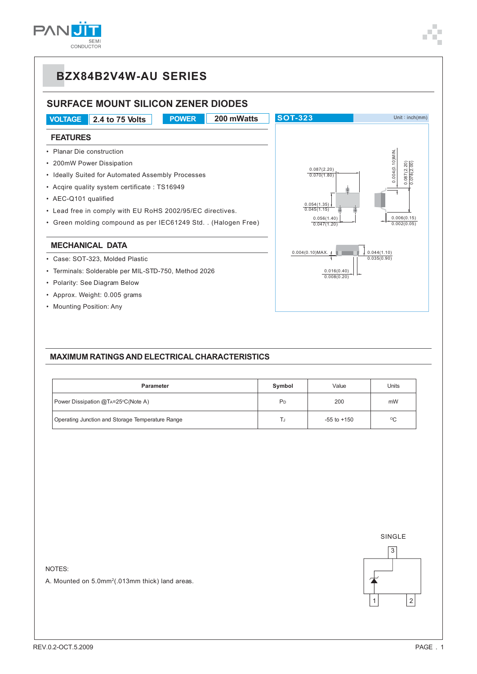

### **SURFACE MOUNT SILICON ZENER DIODES**

**VOLTAGE 2.4 to 75 Volts POWER 200 mWatts SOT-323** Unit : inch(mm) **FEATURES** • Planar Die construction 0.004(0.10)MIN.  $0.004(0.10)$ MIN • 200mW Power Dissipation 0.087(2.20) 0.078(2.00)  $.087(2.20)$ 0.087(2.20)  $078(2)$ • Ideally Suited for Automated Assembly Processes  $0.070(1.80)$ • Acqire quality system certificate : TS16949 • AEC-Q101 qualified 0.054(1.35) 0.045(1.15) • Lead free in comply with EU RoHS 2002/95/EC directives. 0.006(0.15) 0.056(1.40) 0.047(1.20) • Green molding compound as per IEC61249 Std. . (Halogen Free) $0.002(0.05)$ **MECHANICAL DATA**  $\int_{0.044(1.10)}$ 0.004(0.10)MAX. **The Co** • Case: SOT-323, Molded Plastic  $0.035(0.90)$ • Terminals: Solderable per MIL-STD-750, Method 2026 0.016(0.40)  $0.008(0.20)$ • Polarity: See Diagram Below • Approx. Weight: 0.005 grams

• Mounting Position: Any



#### **MAXIMUM RATINGS AND ELECTRICAL CHARACTERISTICS**

| Parameter                                        | Symbol                | Value           | Units           |
|--------------------------------------------------|-----------------------|-----------------|-----------------|
| Power Dissipation @TA=25°C(Note A)               | 200<br>P <sub>D</sub> |                 | mW              |
| Operating Junction and Storage Temperature Range |                       | $-55$ to $+150$ | $\rm ^{\circ}C$ |



NOTES:

A. Mounted on 5.0mm2 (.013mm thick) land areas.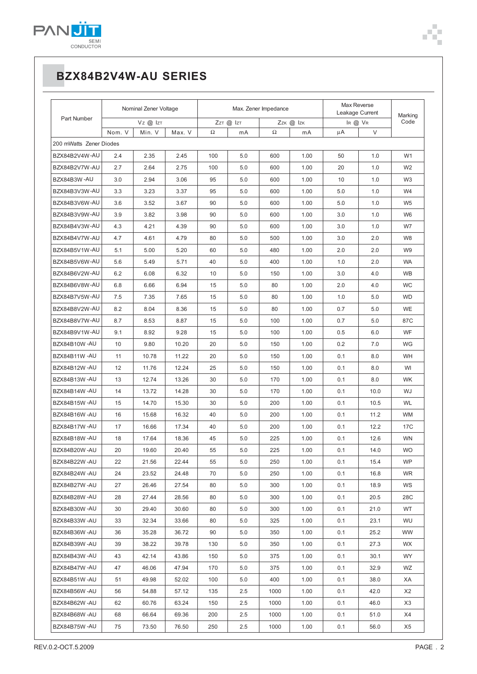

# **BZX84B2V4W-AU SERIES**

|                         | Nominal Zener Voltage |        | Max. Zener Impedance |     |     | Max Reverse<br>Leakage Current |         | Marking |      |                |
|-------------------------|-----------------------|--------|----------------------|-----|-----|--------------------------------|---------|---------|------|----------------|
| Part Number             | Vz @ Izt              |        | ZzT @ IzT            |     |     | Zzk @ Izk                      | IR @ VR |         | Code |                |
|                         | Nom. V                | Min. V | Max. V               | Ω   | mA  | Ω                              | mA      | μA      | V    |                |
| 200 mWatts Zener Diodes |                       |        |                      |     |     |                                |         |         |      |                |
| BZX84B2V4W-AU           | 2.4                   | 2.35   | 2.45                 | 100 | 5.0 | 600                            | 1.00    | 50      | 1.0  | W <sub>1</sub> |
| BZX84B2V7W-AU           | 2.7                   | 2.64   | 2.75                 | 100 | 5.0 | 600                            | 1.00    | 20      | 1.0  | W <sub>2</sub> |
| BZX84B3W-AU             | 3.0                   | 2.94   | 3.06                 | 95  | 5.0 | 600                            | 1.00    | 10      | 1.0  | W <sub>3</sub> |
| BZX84B3V3W-AU           | 3.3                   | 3.23   | 3.37                 | 95  | 5.0 | 600                            | 1.00    | 5.0     | 1.0  | W4             |
| BZX84B3V6W-AU           | 3.6                   | 3.52   | 3.67                 | 90  | 5.0 | 600                            | 1.00    | 5.0     | 1.0  | W <sub>5</sub> |
| BZX84B3V9W-AU           | 3.9                   | 3.82   | 3.98                 | 90  | 5.0 | 600                            | 1.00    | 3.0     | 1.0  | W <sub>6</sub> |
| BZX84B4V3W-AU           | 4.3                   | 4.21   | 4.39                 | 90  | 5.0 | 600                            | 1.00    | 3.0     | 1.0  | W7             |
| BZX84B4V7W-AU           | 4.7                   | 4.61   | 4.79                 | 80  | 5.0 | 500                            | 1.00    | 3.0     | 2.0  | W8             |
| BZX84B5V1W-AU           | 5.1                   | 5.00   | 5.20                 | 60  | 5.0 | 480                            | 1.00    | 2.0     | 2.0  | W <sub>9</sub> |
| BZX84B5V6W-AU           | 5.6                   | 5.49   | 5.71                 | 40  | 5.0 | 400                            | 1.00    | 1.0     | 2.0  | <b>WA</b>      |
| BZX84B6V2W-AU           | 6.2                   | 6.08   | 6.32                 | 10  | 5.0 | 150                            | 1.00    | 3.0     | 4.0  | <b>WB</b>      |
| BZX84B6V8W-AU           | 6.8                   | 6.66   | 6.94                 | 15  | 5.0 | 80                             | 1.00    | 2.0     | 4.0  | WC             |
| BZX84B7V5W-AU           | 7.5                   | 7.35   | 7.65                 | 15  | 5.0 | 80                             | 1.00    | 1.0     | 5.0  | <b>WD</b>      |
| BZX84B8V2W-AU           | 8.2                   | 8.04   | 8.36                 | 15  | 5.0 | 80                             | 1.00    | 0.7     | 5.0  | <b>WE</b>      |
| BZX84B8V7W-AU           | 8.7                   | 8.53   | 8.87                 | 15  | 5.0 | 100                            | 1.00    | 0.7     | 5.0  | 87C            |
| BZX84B9V1W-AU           | 9.1                   | 8.92   | 9.28                 | 15  | 5.0 | 100                            | 1.00    | 0.5     | 6.0  | WF             |
| BZX84B10W-AU            | 10                    | 9.80   | 10.20                | 20  | 5.0 | 150                            | 1.00    | 0.2     | 7.0  | WG             |
| BZX84B11W-AU            | 11                    | 10.78  | 11.22                | 20  | 5.0 | 150                            | 1.00    | 0.1     | 8.0  | WH             |
| BZX84B12W-AU            | 12                    | 11.76  | 12.24                | 25  | 5.0 | 150                            | 1.00    | 0.1     | 8.0  | WI             |
| BZX84B13W-AU            | 13                    | 12.74  | 13.26                | 30  | 5.0 | 170                            | 1.00    | 0.1     | 8.0  | <b>WK</b>      |
| BZX84B14W-AU            | 14                    | 13.72  | 14.28                | 30  | 5.0 | 170                            | 1.00    | 0.1     | 10.0 | WJ             |
| BZX84B15W-AU            | 15                    | 14.70  | 15.30                | 30  | 5.0 | 200                            | 1.00    | 0.1     | 10.5 | <b>WL</b>      |
| BZX84B16W-AU            | 16                    | 15.68  | 16.32                | 40  | 5.0 | 200                            | 1.00    | 0.1     | 11.2 | WM             |
| BZX84B17W-AU            | 17                    | 16.66  | 17.34                | 40  | 5.0 | 200                            | 1.00    | 0.1     | 12.2 | 17C            |
| BZX84B18W-AU            | 18                    | 17.64  | 18.36                | 45  | 5.0 | 225                            | 1.00    | 0.1     | 12.6 | <b>WN</b>      |
| BZX84B20W-AU            | 20                    | 19.60  | 20.40                | 55  | 5.0 | 225                            | 1.00    | 0.1     | 14.0 | <b>WO</b>      |
| BZX84B22W-AU            | 22                    | 21.56  | 22.44                | 55  | 5.0 | 250                            | 1.00    | 0.1     | 15.4 | <b>WP</b>      |
| BZX84B24W-AU            | 24                    | 23.52  | 24.48                | 70  | 5.0 | 250                            | 1.00    | 0.1     | 16.8 | WR.            |
| BZX84B27W-AU            | 27                    | 26.46  | 27.54                | 80  | 5.0 | 300                            | 1.00    | 0.1     | 18.9 | WS             |
| BZX84B28W-AU            | 28                    | 27.44  | 28.56                | 80  | 5.0 | 300                            | 1.00    | 0.1     | 20.5 | 28C            |
| BZX84B30W-AU            | 30                    | 29.40  | 30.60                | 80  | 5.0 | 300                            | 1.00    | 0.1     | 21.0 | WT             |
| BZX84B33W-AU            | 33                    | 32.34  | 33.66                | 80  | 5.0 | 325                            | 1.00    | 0.1     | 23.1 | WU             |
| BZX84B36W-AU            | 36                    | 35.28  | 36.72                | 90  | 5.0 | 350                            | 1.00    | 0.1     | 25.2 | WW             |
| BZX84B39W-AU            | 39                    | 38.22  | 39.78                | 130 | 5.0 | 350                            | 1.00    | 0.1     | 27.3 | WX.            |
| BZX84B43W-AU            | 43                    | 42.14  | 43.86                | 150 | 5.0 | 375                            | 1.00    | 0.1     | 30.1 | WY.            |
| BZX84B47W-AU            | 47                    | 46.06  | 47.94                | 170 | 5.0 | 375                            | 1.00    | 0.1     | 32.9 | WZ             |
| BZX84B51W-AU            | 51                    | 49.98  | 52.02                | 100 | 5.0 | 400                            | 1.00    | 0.1     | 38.0 | XA             |
| BZX84B56W-AU            | 56                    | 54.88  | 57.12                | 135 | 2.5 | 1000                           | 1.00    | 0.1     | 42.0 | X2             |
| BZX84B62W-AU            | 62                    | 60.76  | 63.24                | 150 | 2.5 | 1000                           | 1.00    | 0.1     | 46.0 | X3             |
| BZX84B68W-AU            | 68                    | 66.64  | 69.36                | 200 | 2.5 | 1000                           | 1.00    | 0.1     | 51.0 | X4             |
| BZX84B75W-AU            | 75                    | 73.50  | 76.50                | 250 | 2.5 | 1000                           | 1.00    | 0.1     | 56.0 | X5             |

a a  $\blacksquare$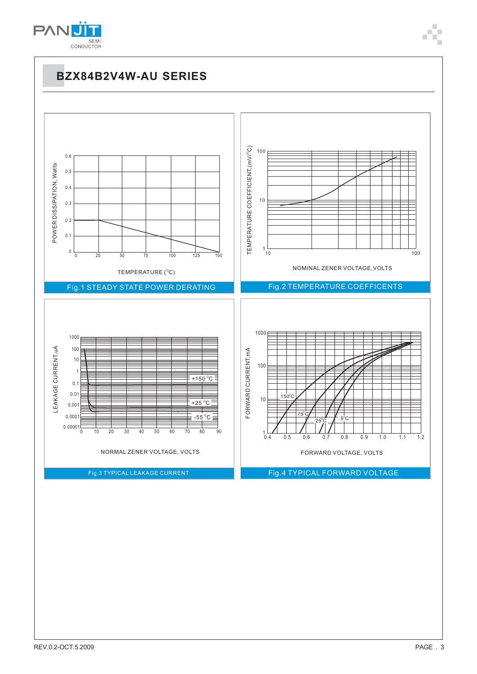

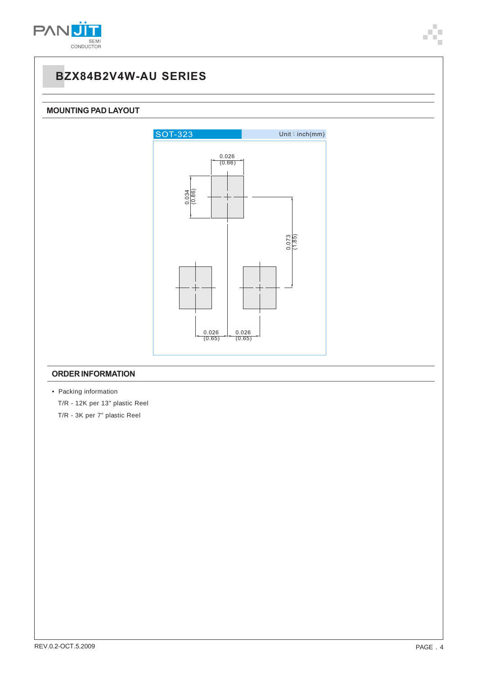

## **BZX84B2V4W-AU SERIES**

#### **MOUNTING PAD LAYOUT**



#### **ORDER INFORMATION**

• Packing information T/R - 12K per 13" plastic Reel T/R - 3K per 7" plastic Reel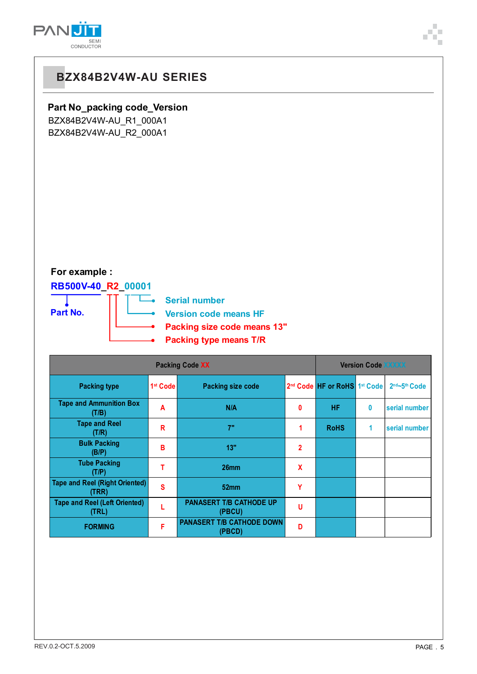

## **BZX84B2V4W-AU SERIES**

### **Part No\_packing code\_Version**

BZX84B2V4W-AU\_R1\_000A1 BZX84B2V4W-AU\_R2\_000A1

### **For example :**

### **RB500V-40\_R2\_00001**



| <b>Packing Code XX</b>                         |                      |                                            |                |                                          | <b>Version Code XXXXX</b> |               |  |  |
|------------------------------------------------|----------------------|--------------------------------------------|----------------|------------------------------------------|---------------------------|---------------|--|--|
| <b>Packing type</b>                            | 1 <sup>st</sup> Code | <b>Packing size code</b>                   |                | 2 <sup>nd</sup> Code HF or RoHS 1st Code |                           | 2nd~5th Code  |  |  |
| <b>Tape and Ammunition Box</b><br>(T/B)        | A                    | N/A                                        | $\mathbf{0}$   | <b>HF</b>                                | 0                         | serial number |  |  |
| <b>Tape and Reel</b><br>(T/R)                  | R                    | 7"                                         | 1              | <b>RoHS</b>                              | 1                         | serial number |  |  |
| <b>Bulk Packing</b><br>(B/P)                   | в                    | 13"                                        | $\overline{2}$ |                                          |                           |               |  |  |
| <b>Tube Packing</b><br>(T/P)                   |                      | 26mm                                       | X              |                                          |                           |               |  |  |
| <b>Tape and Reel (Right Oriented)</b><br>(TRR) | S                    | 52 <sub>mm</sub>                           | Y              |                                          |                           |               |  |  |
| <b>Tape and Reel (Left Oriented)</b><br>(TRL)  |                      | <b>PANASERT T/B CATHODE UP</b><br>(PBCU)   | U              |                                          |                           |               |  |  |
| <b>FORMING</b>                                 | F                    | <b>PANASERT T/B CATHODE DOWN</b><br>(PBCD) | D              |                                          |                           |               |  |  |